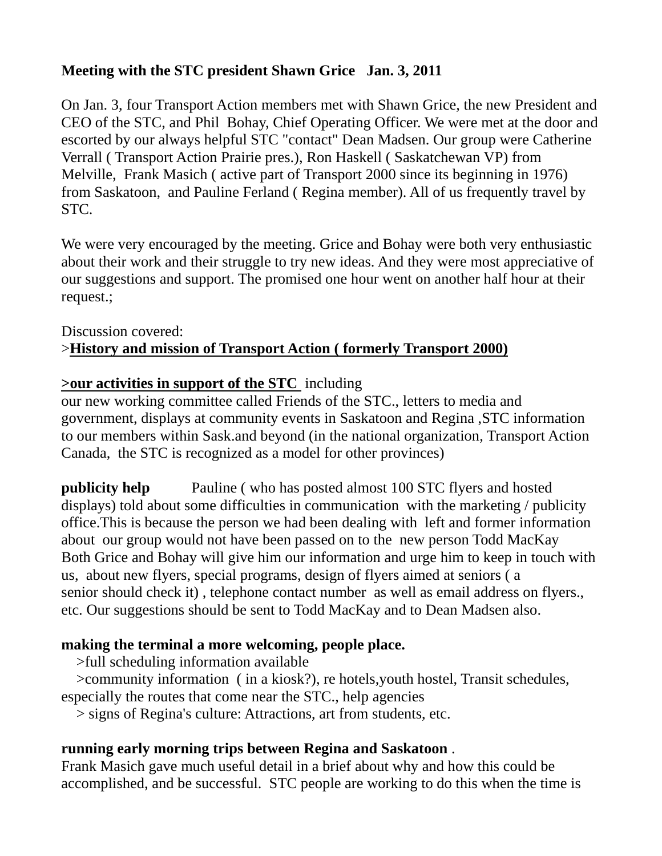# **Meeting with the STC president Shawn Grice Jan. 3, 2011**

On Jan. 3, four Transport Action members met with Shawn Grice, the new President and CEO of the STC, and Phil Bohay, Chief Operating Officer. We were met at the door and escorted by our always helpful STC "contact" Dean Madsen. Our group were Catherine Verrall ( Transport Action Prairie pres.), Ron Haskell ( Saskatchewan VP) from Melville, Frank Masich ( active part of Transport 2000 since its beginning in 1976) from Saskatoon, and Pauline Ferland ( Regina member). All of us frequently travel by STC.

We were very encouraged by the meeting. Grice and Bohay were both very enthusiastic about their work and their struggle to try new ideas. And they were most appreciative of our suggestions and support. The promised one hour went on another half hour at their request.;

## Discussion covered: >**History and mission of Transport Action ( formerly Transport 2000)**

#### **>our activities in support of the STC** including

our new working committee called Friends of the STC., letters to media and government, displays at community events in Saskatoon and Regina ,STC information to our members within Sask.and beyond (in the national organization, Transport Action Canada, the STC is recognized as a model for other provinces)

**publicity help** Pauline (who has posted almost 100 STC flyers and hosted displays) told about some difficulties in communication with the marketing / publicity office.This is because the person we had been dealing with left and former information about our group would not have been passed on to the new person Todd MacKay Both Grice and Bohay will give him our information and urge him to keep in touch with us, about new flyers, special programs, design of flyers aimed at seniors ( a senior should check it) , telephone contact number as well as email address on flyers., etc. Our suggestions should be sent to Todd MacKay and to Dean Madsen also.

## **making the terminal a more welcoming, people place.**

>full scheduling information available

 >community information ( in a kiosk?), re hotels,youth hostel, Transit schedules, especially the routes that come near the STC., help agencies

> signs of Regina's culture: Attractions, art from students, etc.

#### **running early morning trips between Regina and Saskatoon** .

Frank Masich gave much useful detail in a brief about why and how this could be accomplished, and be successful. STC people are working to do this when the time is